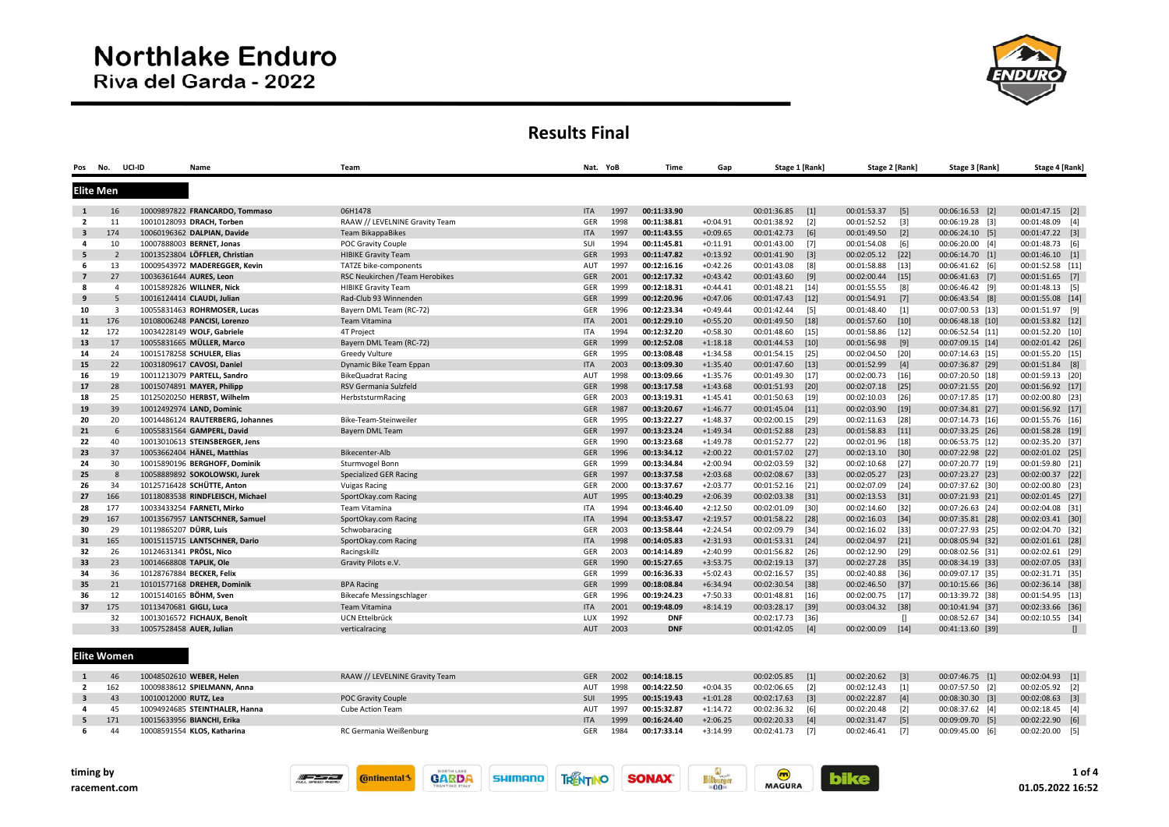

## Results Final

| Pos                     | No.            | UCI-ID | Name                             | Team                            |            | Nat. YoB | Time        | Gap        | Stage 1 [Rank] |        | Stage 2 [Rank] |                   | Stage 3 [Rank]   | Stage 4 [Rank]   |              |
|-------------------------|----------------|--------|----------------------------------|---------------------------------|------------|----------|-------------|------------|----------------|--------|----------------|-------------------|------------------|------------------|--------------|
| <b>Elite Men</b>        |                |        |                                  |                                 |            |          |             |            |                |        |                |                   |                  |                  |              |
| $\mathbf{1}$            | 16             |        | 10009897822 FRANCARDO, Tommaso   | 06H1478                         | <b>ITA</b> | 1997     | 00:11:33.90 |            | 00:01:36.85    | $[1]$  | 00:01:53.37    | $[5]$             | 00:06:16.53 [2]  | 00:01:47.15 [2]  |              |
| $\overline{2}$          | 11             |        | 10010128093 DRACH, Torben        | RAAW // LEVELNINE Gravity Team  | GER        | 1998     | 00:11:38.81 | $+0:04.91$ | 00:01:38.92    | $[2]$  | 00:01:52.52    | $[3]$             | 00:06:19.28 [3]  | 00:01:48.09 [4]  |              |
| $\overline{\mathbf{3}}$ | 174            |        | 10060196362 DALPIAN, Davide      | <b>Team BikappaBikes</b>        | <b>ITA</b> | 1997     | 00:11:43.55 | $+0:09.65$ | 00:01:42.73    | [6]    | 00:01:49.50    | $\lceil 2 \rceil$ | 00:06:24.10 [5]  | 00:01:47.22 [3]  |              |
| 4                       | 10             |        | 10007888003 BERNET, Jonas        | POC Gravity Couple              | SUI        | 1994     | 00:11:45.81 | $+0:11.91$ | 00:01:43.00    | $[7]$  | 00:01:54.08    | $[6]$             | 00:06:20.00 [4]  | 00:01:48.73 [6]  |              |
| 5                       | $\overline{2}$ |        | 10013523804 LÖFFLER, Christian   | <b>HIBIKE Gravity Team</b>      | <b>GER</b> | 1993     | 00:11:47.82 | $+0:13.92$ | 00:01:41.90    | $[3]$  | 00:02:05.12    | $[22]$            | 00:06:14.70 [1]  | 00:01:46.10 [1]  |              |
| 6                       | 13             |        | 10009543972 MADEREGGER, Kevin    | TATZE bike-components           | AUT        | 1997     | 00:12:16.16 | $+0:42.26$ | 00:01:43.08    | [8]    | 00:01:58.88    | $[13]$            | 00:06:41.62 [6]  | 00:01:52.58 [11] |              |
| $\overline{7}$          | 27             |        | 10036361644 AURES, Leon          | RSC Neukirchen / Team Herobikes | <b>GER</b> | 2001     | 00:12:17.32 | $+0:43.42$ | 00:01:43.60    | [9]    | 00:02:00.44    | $[15]$            | 00:06:41.63 [7]  | 00:01:51.65 [7]  |              |
| 8                       | $\overline{4}$ |        | 10015892826 WILLNER, Nick        | <b>HIBIKE Gravity Team</b>      | GER        | 1999     | 00:12:18.31 | $+0:44.41$ | 00:01:48.21    | $[14]$ | 00:01:55.55    | [8]               | 00:06:46.42 [9]  | 00:01:48.13 [5]  |              |
| 9                       | 5              |        | 10016124414 CLAUDI, Julian       | Rad-Club 93 Winnenden           | <b>GER</b> | 1999     | 00:12:20.96 | $+0:47.06$ | 00:01:47.43    | $[12]$ | 00:01:54.91    | $[7]$             | 00:06:43.54 [8]  | 00:01:55.08 [14] |              |
| 10                      | $\overline{3}$ |        | 10055831463 ROHRMOSER, Lucas     | Bayern DML Team (RC-72)         | GER        | 1996     | 00:12:23.34 | $+0:49.44$ | 00:01:42.44    | $[5]$  | 00:01:48.40    | $[1]$             | 00:07:00.53 [13] | 00:01:51.97 [9]  |              |
| 11                      | 176            |        | 10108006248 PANCISI, Lorenzo     | Team Vitamina                   | <b>ITA</b> | 2001     | 00:12:29.10 | $+0:55.20$ | 00:01:49.50    | $[18]$ | 00:01:57.60    | $[10]$            | 00:06:48.18 [10] | 00:01:53.82 [12] |              |
| 12                      | 172            |        | 10034228149 WOLF, Gabriele       | 4T Project                      | ITA        | 1994     | 00:12:32.20 | $+0:58.30$ | 00:01:48.60    | $[15]$ | 00:01:58.86    | $[12]$            | 00:06:52.54 [11] | 00:01:52.20 [10] |              |
| 13                      | 17             |        | 10055831665 MÜLLER, Marco        | Bayern DML Team (RC-72)         | GER        | 1999     | 00:12:52.08 | $+1:18.18$ | 00:01:44.53    | $[10]$ | 00:01:56.98    | $[9]$             | 00:07:09.15 [14] | 00:02:01.42 [26] |              |
| 14                      | 24             |        | 10015178258 SCHULER, Elias       | <b>Greedy Vulture</b>           | GER        | 1995     | 00:13:08.48 | $+1:34.58$ | 00:01:54.15    | $[25]$ | 00:02:04.50    | $[20]$            | 00:07:14.63 [15] | 00:01:55.20 [15] |              |
| 15                      | 22             |        | 10031809617 CAVOSI, Daniel       | Dynamic Bike Team Eppan         | <b>ITA</b> | 2003     | 00:13:09.30 | $+1:35.40$ | 00:01:47.60    | $[13]$ | 00:01:52.99    | $[4]$             | 00:07:36.87 [29] | 00:01:51.84 [8]  |              |
| 16                      | 19             |        | 10011213079 PARTELL, Sandro      | <b>BikeQuadrat Racing</b>       | AUT        | 1998     | 00:13:09.66 | $+1:35.76$ | 00:01:49.30    | $[17]$ | 00:02:00.73    | $[16]$            | 00:07:20.50 [18] | 00:01:59.13 [20] |              |
| 17                      | 28             |        | 10015074891 MAYER, Philipp       | RSV Germania Sulzfeld           | <b>GER</b> | 1998     | 00:13:17.58 | $+1:43.68$ | 00:01:51.93    | $[20]$ | 00:02:07.18    | $[25]$            | 00:07:21.55 [20] | 00:01:56.92 [17] |              |
| 18                      | 25             |        | 10125020250 HERBST, Wilhelm      | HerbststurmRacing               | GER        | 2003     | 00:13:19.31 | $+1:45.41$ | 00:01:50.63    | [19]   | 00:02:10.03    | $[26]$            | 00:07:17.85 [17] | 00:02:00.80 [23] |              |
| 19                      | 39             |        | 10012492974 LAND, Dominic        |                                 | <b>GER</b> | 1987     | 00:13:20.67 | $+1:46.77$ | 00:01:45.04    | $[11]$ | 00:02:03.90    | $[19]$            | 00:07:34.81 [27] | 00:01:56.92 [17] |              |
| 20                      | 20             |        | 10014486124 RAUTERBERG, Johannes | Bike-Team-Steinweiler           | GER        | 1995     | 00:13:22.27 | $+1:48.37$ | 00:02:00.15    | $[29]$ | 00:02:11.63    | $[28]$            | 00:07:14.73 [16] | 00:01:55.76 [16] |              |
| 21                      | 6              |        | 10055831564 GAMPERL, David       | Bayern DML Team                 | <b>GER</b> | 1997     | 00:13:23.24 | $+1:49.34$ | 00:01:52.88    | $[23]$ | 00:01:58.83    | $[11]$            | 00:07:33.25 [26] | 00:01:58.28 [19] |              |
| 22                      | 40             |        | 10013010613 STEINSBERGER, Jens   |                                 | GER        | 1990     | 00:13:23.68 | $+1:49.78$ | 00:01:52.77    | $[22]$ | 00:02:01.96    | $[18]$            | 00:06:53.75 [12] | 00:02:35.20 [37] |              |
| 23                      | 37             |        | 10053662404 HÄNEL, Matthias      | Bikecenter-Alb                  | <b>GER</b> | 1996     | 00:13:34.12 | $+2:00.22$ | 00:01:57.02    | $[27]$ | 00:02:13.10    | $[30]$            | 00:07:22.98 [22] | 00:02:01.02 [25] |              |
| 24                      | 30             |        | 10015890196 BERGHOFF, Dominik    | Sturmvogel Bonn                 | GER        | 1999     | 00:13:34.84 | $+2:00.94$ | 00:02:03.59    | $[32]$ | 00:02:10.68    | $[27]$            | 00:07:20.77 [19] | 00:01:59.80 [21] |              |
| 25                      | 8              |        | 10058889892 SOKOLOWSKI, Jurek    | <b>Specialized GER Racing</b>   | <b>GER</b> | 1997     | 00:13:37.58 | $+2:03.68$ | 00:02:08.67    | $[33]$ | 00:02:05.27    | $[23]$            | 00:07:23.27 [23] | 00:02:00.37 [22] |              |
| 26                      | 34             |        | 10125716428 SCHÜTTE, Anton       | <b>Vuigas Racing</b>            | GER        | 2000     | 00:13:37.67 | $+2:03.77$ | 00:01:52.16    | $[21]$ | 00:02:07.09    | $[24]$            | 00:07:37.62 [30] | 00:02:00.80 [23] |              |
| 27                      | 166            |        | 10118083538 RINDFLEISCH, Michael | SportOkay.com Racing            | AUT        | 1995     | 00:13:40.29 | $+2:06.39$ | 00:02:03.38    | $[31]$ | 00:02:13.53    | $[31]$            | 00:07:21.93 [21] | 00:02:01.45 [27] |              |
| 28                      | 177            |        | 10033433254 FARNETI, Mirko       | Team Vitamina                   | ITA        | 1994     | 00:13:46.40 | $+2:12.50$ | 00:02:01.09    | $[30]$ | 00:02:14.60    | $[32]$            | 00:07:26.63 [24] | 00:02:04.08 [31] |              |
| 29                      | 167            |        | 10013567957 LANTSCHNER, Samuel   | SportOkay.com Racing            | <b>ITA</b> | 1994     | 00:13:53.47 | $+2:19.57$ | 00:01:58.22    | [28]   | 00:02:16.03    | $[34]$            | 00:07:35.81 [28] | 00:02:03.41 [30] |              |
| 30                      | 29             |        | 10119865207 DÜRR, Luis           | Schwobaracing                   | GER        | 2003     | 00:13:58.44 | $+2:24.54$ | 00:02:09.79    | [34]   | 00:02:16.02    | $[33]$            | 00:07:27.93 [25] | 00:02:04.70 [32] |              |
| 31                      | 165            |        | 10015115715 LANTSCHNER, Dario    | SportOkay.com Racing            | <b>ITA</b> | 1998     | 00:14:05.83 | $+2:31.93$ | 00:01:53.31    | $[24]$ | 00:02:04.97    | $[21]$            | 00:08:05.94 [32] | 00:02:01.61 [28] |              |
| 32                      | 26             |        | 10124631341 PRÖSL, Nico          | Racingskillz                    | GER        | 2003     | 00:14:14.89 | $+2:40.99$ | 00:01:56.82    | $[26]$ | 00:02:12.90    | $[29]$            | 00:08:02.56 [31] | 00:02:02.61 [29] |              |
| 33                      | 23             |        | 10014668808 TAPLIK, Ole          | Gravity Pilots e.V.             | <b>GER</b> | 1990     | 00:15:27.65 | $+3:53.75$ | 00:02:19.13    | $[37]$ | 00:02:27.28    | $[35]$            | 00:08:34.19 [33] | 00:02:07.05 [33] |              |
| 34                      | 36             |        | 10128767884 BECKER, Felix        |                                 | GER        | 1999     | 00:16:36.33 | $+5:02.43$ | 00:02:16.57    | $[35]$ | 00:02:40.88    | $[36]$            | 00:09:07.17 [35] | 00:02:31.71 [35] |              |
| 35                      | 21             |        | 10101577168 DREHER, Dominik      | <b>BPA Racing</b>               | GER        | 1999     | 00:18:08.84 | $+6:34.94$ | 00:02:30.54    | $[38]$ | 00:02:46.50    | $[37]$            | 00:10:15.66 [36] | 00:02:36.14 [38] |              |
| 36                      | 12             |        | 10015140165 BÖHM, Sven           | <b>Bikecafe Messingschlager</b> | GER        | 1996     | 00:19:24.23 | $+7:50.33$ | 00:01:48.81    | $[16]$ | 00:02:00.75    | $[17]$            | 00:13:39.72 [38] | 00:01:54.95 [13] |              |
| 37                      | 175            |        | 10113470681 GIGLI, Luca          | Team Vitamina                   | <b>ITA</b> | 2001     | 00:19:48.09 | $+8:14.19$ | 00:03:28.17    | $[39]$ | 00:03:04.32    | $[38]$            | 00:10:41.94 [37] | 00:02:33.66 [36] |              |
|                         | 32             |        | 10013016572 FICHAUX, Benoît      | UCN Ettelbrück                  | LUX        | 1992     | <b>DNF</b>  |            | 00:02:17.73    | $[36]$ |                | л                 | 00:08:52.67 [34] | 00:02:10.55 [34] |              |
|                         | 33             |        | 10057528458 AUER, Julian         | verticalracing                  | AUT        | 2003     | <b>DNF</b>  |            | 00:01:42.05    | [4]    | 00:02:00.09    | $[14]$            | 00:41:13.60 [39] |                  | $\mathsf{I}$ |
|                         |                |        |                                  |                                 |            |          |             |            |                |        |                |                   |                  |                  |              |
| <b>Elite Women</b>      |                |        |                                  |                                 |            |          |             |            |                |        |                |                   |                  |                  |              |
|                         | 46             |        | 10048502610 WEBER, Helen         | RAAW // LEVELNINE Gravity Team  | <b>GER</b> | 2002     | 00:14:18.15 |            | 00:02:05.85    | $[1]$  | 00:02:20.62    | $\lceil 3 \rceil$ | 00:07:46.75 [1]  | 00:02:04.93 [1]  |              |
| $\overline{2}$          | 162            |        | 10009838612 SPIELMANN, Anna      |                                 | AUT        | 1998     | 00:14:22.50 | $+0:04.35$ | 00:02:06.65    | $[2]$  | 00:02:12.43    | $[1]$             | 00:07:57.50 [2]  | 00:02:05.92 [2]  |              |
| $\overline{\mathbf{3}}$ | 43             |        | 10010012000 RUTZ, Lea            | <b>POC Gravity Couple</b>       | <b>SUI</b> | 1995     | 00:15:19.43 | $+1:01.28$ | 00:02:17.63    | $[3]$  | 00:02:22.87    | [4]               | 00:08:30.30 [3]  | 00:02:08.63 [3]  |              |

|       |                                |                        |            |      |             |            |                 |                   |            |                 | .               |  |
|-------|--------------------------------|------------------------|------------|------|-------------|------------|-----------------|-------------------|------------|-----------------|-----------------|--|
| 2 162 | 10009838612 SPIELMANN. Anna    |                        | AUT        | 1998 | 00:14:22.50 | $+0:04.35$ | 00:02:06.65 [2] | 00:02:12.43 [1]   |            | 00:07:57.50 [2] | 00:02:05.92 [2] |  |
| 43    | 10010012000 RUTZ, Lea          | POC Gravity Couple     | <b>SUI</b> | 1995 | 00:15:19.43 | $+1:01.28$ | 00:02:17.63 [3] | 00:02:22.87 [4]   |            | 00:08:30.30 [3] | 00:02:08.63 [3] |  |
| 45    | 10094924685 STEINTHALER. Hanna | Cube Action Team       | AUT        | 1997 | 00:15:32.87 | $+1:14.72$ | 00:02:36.32 [6] | 00:02:20.48       | $\sqrt{2}$ | 00:08:37.62 [4] | 00:02:18.45 [4] |  |
| 171   | 10015633956 BIANCHI. Erika     |                        | <b>ITA</b> | 1999 | 00:16:24.40 | $+2:06.25$ | 00:02:20.33 [4] | $00:02:31.47$ [5] |            | 00:09:09.70 [5] | 00:02:22.90 [6] |  |
| 44    | 10008591554 KLOS. Katharina    | RC Germania Weißenburg | GER        | 1984 | 00:17:33.14 | $+3:14.99$ | 00:02:41.73 [7] | 00:02:46.41 [7]   |            | 00:09:45.00 [6] | 00:02:20.00 [5] |  |
|       |                                |                        |            |      |             |            |                 |                   |            |                 |                 |  |

**SHIMANO** 





**m**<br>MAGURA

**bike**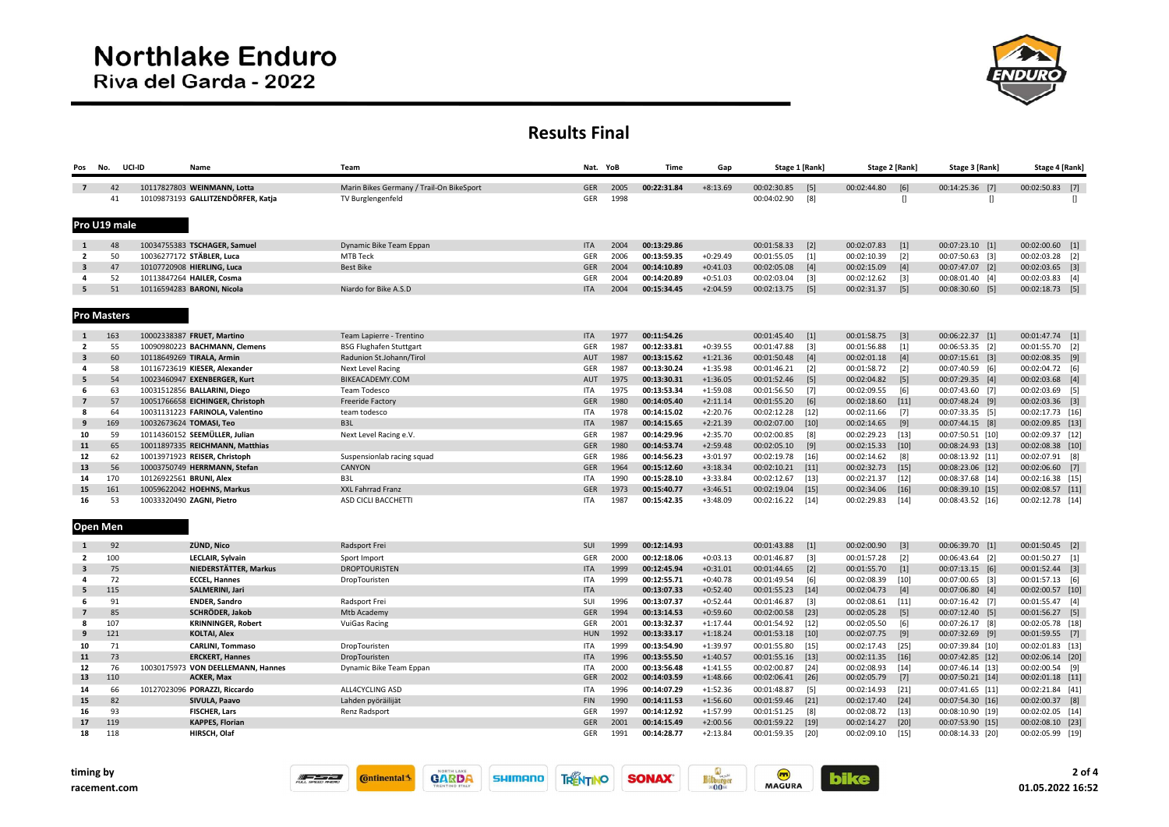

## Results Final

| Pos                     | No.                | UCI-ID   | Name                                                          |                           | Team                                     | Nat. YoB          |              | <b>Time</b>                | Gap                      | Stage 1 [Rank]             |                   | Stage 2 [Rank]             |                   | Stage 3 [Rank]                       | Stage 4 [Rank]                      |
|-------------------------|--------------------|----------|---------------------------------------------------------------|---------------------------|------------------------------------------|-------------------|--------------|----------------------------|--------------------------|----------------------------|-------------------|----------------------------|-------------------|--------------------------------------|-------------------------------------|
| $\overline{7}$          |                    | 42       | 10117827803 WEINMANN, Lotta                                   |                           | Marin Bikes Germany / Trail-On BikeSport | <b>GER</b>        | 2005         | 00:22:31.84                | $+8:13.69$               | 00:02:30.85                | $[5]$             | 00:02:44.80                | [6]               | 00:14:25.36 [7]                      | 00:02:50.83 [7]                     |
|                         |                    | 41       | 10109873193 GALLITZENDÖRFER, Katja                            |                           | TV Burglengenfeld                        | GER               | 1998         |                            |                          | 00:04:02.90                | [8]               |                            | II.               | Л                                    | $\mathbf{u}$                        |
|                         |                    |          |                                                               |                           |                                          |                   |              |                            |                          |                            |                   |                            |                   |                                      |                                     |
|                         | Pro U19 male       |          |                                                               |                           |                                          |                   |              |                            |                          |                            |                   |                            |                   |                                      |                                     |
| 1                       |                    | 48       | 10034755383 TSCHAGER, Samuel                                  |                           | Dynamic Bike Team Eppan                  | <b>ITA</b>        | 2004         | 00:13:29.86                |                          | 00:01:58.33                | $[2]$             | 00:02:07.83                | $[1]$             | 00:07:23.10 [1]                      | $00:02:00.60$ [1]                   |
| $\overline{2}$          |                    | 50       | 10036277172 STÄBLER, Luca                                     |                           | <b>MTB Teck</b>                          | GER               | 2006         | 00:13:59.35                | $+0.29.49$               | 00:01:55.05                | $[1]$             | 00:02:10.39                | $\lceil 2 \rceil$ | 00:07:50.63 [3]                      | 00:02:03.28 [2]                     |
| $\overline{\mathbf{3}}$ |                    | 47       | 10107720908 HIERLING, Luca                                    |                           | <b>Best Bike</b>                         | <b>GER</b>        | 2004         | 00:14:10.89                | $+0:41.03$               | 00:02:05.08                | $[4]$             | 00:02:15.09                | $[4]$             | 00:07:47.07 [2]                      | $00:02:03.65$ [3]                   |
| 4                       |                    | 52       | 10113847264 HAILER, Cosma                                     |                           |                                          | GER               | 2004         | 00:14:20.89                | $+0:51.03$               | 00:02:03.04                | $[3]$             | 00:02:12.62                | $[3]$             | 00:08:01.40 [4]                      | 00:02:03.83 [4]                     |
| 5                       |                    | 51       | 10116594283 BARONI, Nicola                                    |                           | Niardo for Bike A.S.D                    | <b>ITA</b>        | 2004         | 00:15:34.45                | $+2:04.59$               | 00:02:13.75                | $[5]$             | 00:02:31.37                | $[5]$             | 00:08:30.60 [5]                      | 00:02:18.73 [5]                     |
|                         | <b>Pro Masters</b> |          |                                                               |                           |                                          |                   |              |                            |                          |                            |                   |                            |                   |                                      |                                     |
| 1                       | 163                |          | 10002338387 FRUET, Martino                                    |                           | Team Lapierre - Trentino                 | <b>ITA</b>        | 1977         | 00:11:54.26                |                          | 00:01:45.40                | $[1]$             | 00:01:58.75                | $[3]$             | 00:06:22.37 [1]                      | 00:01:47.74 [1]                     |
| $\overline{2}$          |                    | 55       | 10090980223 BACHMANN, Clemens                                 |                           | <b>BSG Flughafen Stuttgart</b>           | GER               | 1987         | 00:12:33.81                | $+0:39.55$               | 00:01:47.88                | $[3]$             | 00:01:56.88                | $[1]$             | 00:06:53.35 [2]                      | 00:01:55.70 [2]                     |
| 3                       |                    | 60       | 10118649269 TIRALA, Armin                                     |                           | Radunion St.Johann/Tirol                 | AUT               | 1987         | 00:13:15.62                | $+1:21.36$               | 00:01:50.48                | $[4]$             | 00:02:01.18                | $[4]$             | 00:07:15.61 [3]                      | 00:02:08.35 [9]                     |
| 4                       |                    | 58       | 10116723619 KIESER, Alexander                                 |                           | Next Level Racing                        | GER               | 1987         | 00:13:30.24                | $+1:35.98$               | 00:01:46.21                | $[2]$             | 00:01:58.72                | $\lceil 2 \rceil$ | 00:07:40.59 [6]                      | 00:02:04.72 [6]                     |
| 5                       |                    | 54       | 10023460947 EXENBERGER, Kurt                                  |                           | BIKEACADEMY.COM                          | AUT               | 1975         | 00:13:30.31                | $+1:36.05$               | 00:01:52.46                | $[5]$             | 00:02:04.82                | $[5]$             | 00:07:29.35 [4]                      | 00:02:03.68 [4]                     |
| 6                       |                    | 63       | 10031512856 BALLARINI, Diego                                  |                           | Team Todesco                             | ITA               | 1975         | 00:13:53.34                | $+1:59.08$               | 00:01:56.50                | $[7]$             | 00:02:09.55                | [6]               | 00:07:43.60 [7]                      | 00:02:03.69 [5]                     |
| $\overline{7}$          |                    | 57       | 10051766658 EICHINGER, Christoph                              |                           | <b>Freeride Factory</b>                  | <b>GER</b>        | 1980         | 00:14:05.40                | $+2:11.14$               | 00:01:55.20                | [6]               | 00:02:18.60                | $[11]$            | 00:07:48.24 [9]                      | $00:02:03.36$ [3]                   |
| 8                       |                    | 64       | 10031131223 FARINOLA, Valentino                               |                           | team todesco                             | ITA               | 1978         | 00:14:15.02                | $+2:20.76$               | 00:02:12.28                | $[12]$            | 00:02:11.66                | $[7]$             | 00:07:33.35 [5]                      | 00:02:17.73 [16]                    |
| 9                       | 169                |          | 10032673624 TOMASI, Teo                                       |                           | B <sub>3L</sub>                          | <b>ITA</b>        | 1987         | 00:14:15.65                | $+2:21.39$               | 00:02:07.00                | $[10]$            | 00:02:14.65                | [9]               | 00:07:44.15 [8]                      | 00:02:09.85 [13]                    |
| 10                      |                    | 59       | 10114360152 SEEMÜLLER, Julian                                 |                           | Next Level Racing e.V.                   | GER               | 1987         | 00:14:29.96                | $+2:35.70$               | 00:02:00.85                | [8]               | 00:02:29.23                | $[13]$            | 00:07:50.51 [10]                     | 00:02:09.37 [12]                    |
| 11                      |                    | 65<br>62 | 10011897335 REICHMANN, Matthias                               |                           |                                          | <b>GER</b>        | 1980<br>1986 | 00:14:53.74<br>00:14:56.23 | $+2:59.48$               | 00:02:05.10                | $[9]$             | 00:02:15.33                | $[10]$            | 00:08:24.93 [13]                     | 00:02:08.38 [10]                    |
| 12<br>13                |                    | 56       | 10013971923 REISER, Christoph<br>10003750749 HERRMANN, Stefan |                           | Suspensionlab racing squad<br>CANYON     | GER<br><b>GER</b> | 1964         | 00:15:12.60                | $+3:01.97$<br>$+3:18.34$ | 00:02:19.78<br>00:02:10.21 | $[16]$            | 00:02:14.62<br>00:02:32.73 | [8]               | 00:08:13.92 [11]                     | 00:02:07.91 [8]                     |
| 14                      | 170                |          | 10126922561 BRUNI, Alex                                       |                           | B3L                                      | <b>ITA</b>        | 1990         | 00:15:28.10                | $+3:33.84$               | 00:02:12.67                | $[11]$<br>$[13]$  | 00:02:21.37                | $[15]$<br>$[12]$  | 00:08:23.06 [12]<br>00:08:37.68 [14] | 00:02:06.60 [7]<br>00:02:16.38 [15] |
| 15                      | 161                |          | 10059622042 HOEHNS, Markus                                    |                           | XXL Fahrrad Franz                        | <b>GER</b>        | 1973         | 00:15:40.77                | $+3:46.51$               | 00:02:19.04                | $[15]$            | 00:02:34.06                | $[16]$            | 00:08:39.10 [15]                     | 00:02:08.57 [11]                    |
| 16                      |                    | 53       | 10033320490 ZAGNI, Pietro                                     |                           | ASD CICLI BACCHETTI                      | <b>ITA</b>        | 1987         | 00:15:42.35                | $+3:48.09$               | 00:02:16.22                | $[14]$            | 00:02:29.83                | $[14]$            | 00:08:43.52 [16]                     | 00:02:12.78 [14]                    |
|                         | <b>Open Men</b>    |          |                                                               |                           |                                          |                   |              |                            |                          |                            |                   |                            |                   |                                      |                                     |
| 1                       |                    | 92       | ZÜND, Nico                                                    |                           | Radsport Frei                            | SUI               | 1999         | 00:12:14.93                |                          | 00:01:43.88                | $[1]$             | 00:02:00.90                | $[3]$             | 00:06:39.70 [1]                      | 00:01:50.45 [2]                     |
| $\overline{2}$          | 100                |          |                                                               | <b>LECLAIR, Sylvain</b>   | Sport Import                             | GER               | 2000         | 00:12:18.06                | $+0:03.13$               | 00:01:46.87                | $[3]$             | 00:01:57.28                | $\lceil 2 \rceil$ | 00:06:43.64 [2]                      | 00:01:50.27 [1]                     |
| $\overline{\mathbf{3}}$ |                    | 75       |                                                               | NIEDERSTÄTTER, Markus     | <b>DROPTOURISTEN</b>                     | <b>ITA</b>        | 1999         | 00:12:45.94                | $+0:31.01$               | 00:01:44.65                | $\lceil 2 \rceil$ | 00:01:55.70                | $[1]$             | 00:07:13.15 [6]                      | 00:01:52.44 [3]                     |
| 4<br>5                  | 115                | 72       | <b>ECCEL, Hannes</b>                                          | SALMERINI, Jari           | DropTouristen                            | ITA<br><b>ITA</b> | 1999         | 00:12:55.71<br>00:13:07.33 | $+0:40.78$<br>$+0:52.40$ | 00:01:49.54<br>00:01:55.23 | [6]<br>$[14]$     | 00:02:08.39<br>00:02:04.73 | $[10]$<br>$[4]$   | 00:07:00.65 [3]<br>00:07:06.80 [4]   | 00:01:57.13 [6]<br>00:02:00.57 [10] |
| 6                       |                    | 91       | <b>ENDER, Sandro</b>                                          |                           | Radsport Frei                            | SUI               | 1996         | 00:13:07.37                | $+0:52.44$               | 00:01:46.87                | $[3]$             | 00:02:08.61                | $[11]$            | 00:07:16.42 [7]                      | 00:01:55.47 [4]                     |
| $\overline{7}$          |                    | 85       |                                                               | SCHRÖDER, Jakob           | Mtb Academy                              | GER               | 1994         | 00:13:14.53                | $+0:59.60$               | 00:02:00.58                | $[23]$            | 00:02:05.28                | [5]               | 00:07:12.40 [5]                      | 00:01:56.27 [5]                     |
| 8                       | 107                |          |                                                               | <b>KRINNINGER, Robert</b> | <b>VuiGas Racing</b>                     | GER               | 2001         | 00:13:32.37                | $+1:17.44$               | 00:01:54.92                | $[12]$            | 00:02:05.50                | [6]               | 00:07:26.17 [8]                      | 00:02:05.78 [18]                    |
| 9                       | 121                |          | <b>KOLTAI, Alex</b>                                           |                           |                                          | <b>HUN</b>        | 1992         | 00:13:33.17                | $+1:18.24$               | 00:01:53.18                | $[10]$            | 00:02:07.75                | $[9]$             | 00:07:32.69 [9]                      | 00:01:59.55 [7]                     |
| 10                      |                    | 71       |                                                               | <b>CARLINI, Tommaso</b>   | DropTouristen                            | ITA               | 1999         | 00:13:54.90                | $+1:39.97$               | 00:01:55.80                | $[15]$            | 00:02:17.43                | $[25]$            | 00:07:39.84 [10]                     | 00:02:01.83 [13]                    |
| 11                      |                    | 73       |                                                               | <b>ERCKERT, Hannes</b>    | DropTouristen                            | <b>ITA</b>        | 1996         | 00:13:55.50                | $+1:40.57$               | 00:01:55.16                | $[13]$            | 00:02:11.35                | $[16]$            | 00:07:42.85 [12]                     | 00:02:06.14 [20]                    |
| 12                      |                    | 76       | 10030175973 VON DEELLEMANN, Hannes                            |                           | Dynamic Bike Team Eppan                  | <b>ITA</b>        | 2000         | 00:13:56.48                | $+1:41.55$               | 00:02:00.87                | $[24]$            | 00:02:08.93                | $[14]$            | 00:07:46.14 [13]                     | 00:02:00.54 [9]                     |
| 13                      | 110                |          | <b>ACKER, Max</b>                                             |                           |                                          | <b>GER</b>        | 2002         | 00:14:03.59                | $+1:48.66$               | 00:02:06.41                | $[26]$            | 00:02:05.79                | $[7]$             | 00:07:50.21 [14]                     | 00:02:01.18 [11]                    |
| 14                      |                    | 66       | 10127023096 PORAZZI, Riccardo                                 |                           | ALL4CYCLING ASD                          | ITA               | 1996         | 00:14:07.29                | $+1:52.36$               | 00:01:48.87                | [5]               | 00:02:14.93                | $[21]$            | 00:07:41.65 [11]                     | 00:02:21.84 [41]                    |
| 15                      |                    | 82       | SIVULA, Paavo                                                 |                           | Lahden pyöräilijät                       | <b>FIN</b>        | 1990         | 00:14:11.53                | $+1:56.60$               | 00:01:59.46                | $[21]$            | 00:02:17.40                | $[24]$            | 00:07:54.30 [16]                     | 00:02:00.37 [8]                     |
| 16                      |                    | 93       | <b>FISCHER, Lars</b>                                          |                           | Renz Radsport                            | GER               | 1997         | 00:14:12.92                | $+1:57.99$               | 00:01:51.25                | [8]               | 00:02:08.72                | $[13]$            | 00:08:10.90 [19]                     | 00:02:02.05 [14]                    |
| 17                      | 119                |          |                                                               | <b>KAPPES, Florian</b>    |                                          | <b>GER</b>        | 2001         | 00:14:15.49                | $+2:00.56$               | 00:01:59.22                | $[19]$            | 00:02:14.27                | $[20]$            | 00:07:53.90 [15]                     | 00:02:08.10 [23]                    |
| 18                      | 118                |          | HIRSCH, Olaf                                                  |                           |                                          | GER               | 1991         | 00:14:28.77                | $+2:13.84$               | 00:01:59.35                | $[20]$            | 00:02:09.10                | $[15]$            | 00:08:14.33 [20]                     | 00:02:05.99 [19]                    |









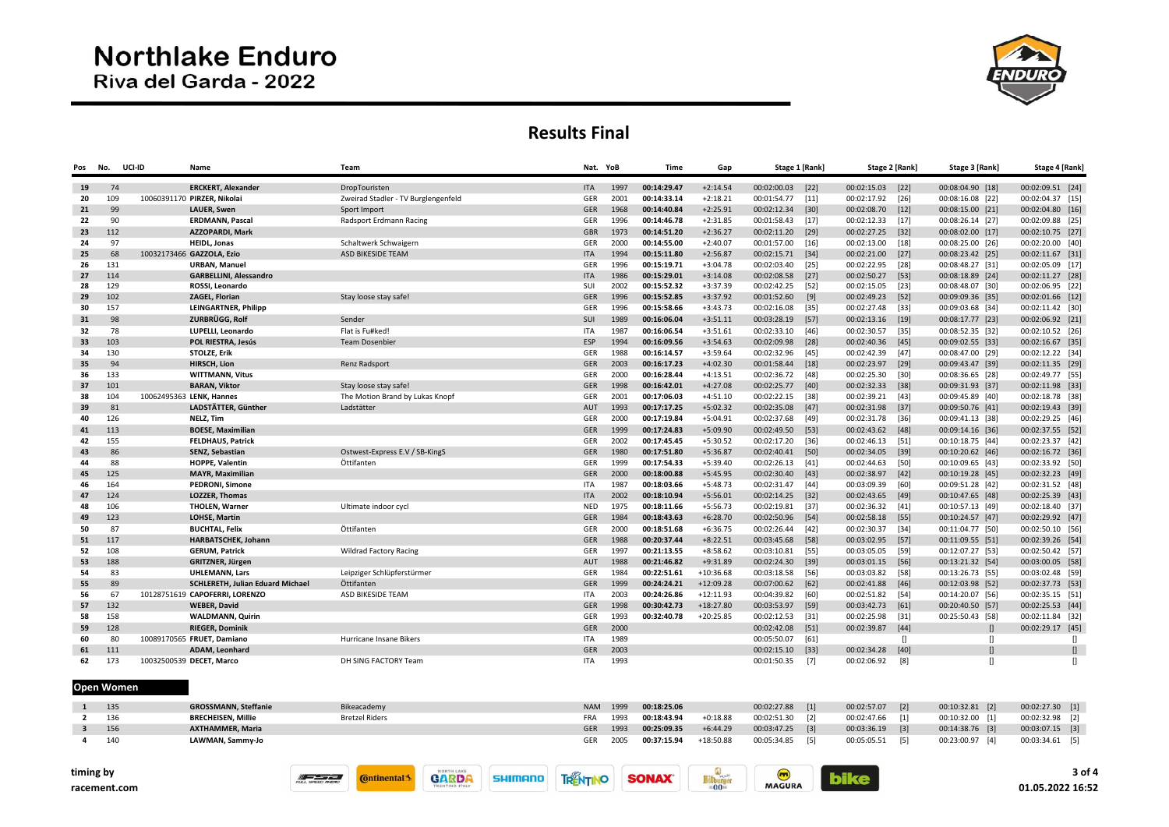# **Northlake Enduro** Riva del Garda - 2022



#### Results Final

| Pos | No. | UCI-ID | Name                             | Team                                |            | Nat. YoB | <b>Time</b> | Gap         |                  | Stage 1 [Rank] | Stage 2 [Rank] |        | Stage 3 [Rank]   | Stage 4 [Rank]   |
|-----|-----|--------|----------------------------------|-------------------------------------|------------|----------|-------------|-------------|------------------|----------------|----------------|--------|------------------|------------------|
| 19  | 74  |        | <b>ERCKERT, Alexander</b>        | DropTouristen                       | <b>ITA</b> | 1997     | 00:14:29.47 | $+2:14.54$  | 00:02:00.03      | $[22]$         | 00:02:15.03    | $[22]$ | 00:08:04.90 [18] | 00:02:09.51 [24] |
| 20  | 109 |        | 10060391170 PIRZER, Nikolai      | Zweirad Stadler - TV Burglengenfeld | GER        | 2001     | 00:14:33.14 | $+2:18.21$  | 00:01:54.77 [11] |                | 00:02:17.92    | $[26]$ | 00:08:16.08 [22] | 00:02:04.37 [15] |
| 21  | 99  |        | <b>LAUER, Swen</b>               | Sport Import                        | GER        | 1968     | 00:14:40.84 | $+2:25.91$  | 00:02:12.34 [30] |                | 00:02:08.70    | $[12]$ | 00:08:15.00 [21] | 00:02:04.80 [16] |
| 22  | 90  |        | <b>ERDMANN. Pascal</b>           | Radsport Erdmann Racing             | GER        | 1996     | 00:14:46.78 | $+2:31.85$  | 00:01:58.43      | $[17]$         | 00:02:12.33    | $[17]$ | 00:08:26.14 [27] | 00:02:09.88 [25] |
| 23  | 112 |        | <b>AZZOPARDI, Mark</b>           |                                     | <b>GBR</b> | 1973     | 00:14:51.20 | $+2:36.27$  | 00:02:11.20 [29] |                | 00:02:27.25    | $[32]$ | 00:08:02.00 [17] | 00:02:10.75 [27] |
| 24  | 97  |        | <b>HEIDL, Jonas</b>              | Schaltwerk Schwaigern               | GER        | 2000     | 00:14:55.00 | $+2:40.07$  | 00:01:57.00      | $[16]$         | 00:02:13.00    | $[18]$ | 00:08:25.00 [26] | 00:02:20.00 [40] |
| 25  | 68  |        | 10032173466 GAZZOLA, Ezio        | ASD BIKESIDE TEAM                   | <b>ITA</b> | 1994     | 00:15:11.80 | $+2:56.87$  | 00:02:15.71 [34] |                | 00:02:21.00    | $[27]$ | 00:08:23.42 [25] | 00:02:11.67 [31] |
| 26  | 131 |        | <b>URBAN, Manuel</b>             |                                     | GER        | 1996     | 00:15:19.71 | $+3:04.78$  | 00:02:03.40      | $[25]$         | 00:02:22.95    | $[28]$ | 00:08:48.27 [31] | 00:02:05.09 [17] |
| 27  | 114 |        | <b>GARBELLINI, Alessandro</b>    |                                     | <b>ITA</b> | 1986     | 00:15:29.01 | $+3:14.08$  | 00:02:08.58      | $[27]$         | 00:02:50.27    | $[53]$ | 00:08:18.89 [24] | 00:02:11.27 [28] |
| 28  | 129 |        | ROSSI, Leonardo                  |                                     | SUI        | 2002     | 00:15:52.32 | $+3:37.39$  | 00:02:42.25      | [52]           | 00:02:15.05    | $[23]$ | 00:08:48.07 [30] | 00:02:06.95 [22] |
| 29  | 102 |        | <b>ZAGEL, Florian</b>            | Stay loose stay safe!               | <b>GER</b> | 1996     | 00:15:52.85 | $+3:37.92$  | 00:01:52.60      | $[9]$          | 00:02:49.23    | $[52]$ | 00:09:09.36 [35] | 00:02:01.66 [12] |
| 30  | 157 |        | <b>LEINGARTNER, Philipp</b>      |                                     | GER        | 1996     | 00:15:58.66 | $+3:43.73$  | 00:02:16.08      | $[35]$         | 00:02:27.48    | $[33]$ | 00:09:03.68 [34] | 00:02:11.42 [30] |
| 31  | 98  |        | ZURBRÜGG. Rolf                   | Sender                              | SUI        | 1989     | 00:16:06.04 | $+3:51.11$  | 00:03:28.19      | $[57]$         | 00:02:13.16    | $[19]$ | 00:08:17.77 [23] | 00:02:06.92 [21] |
| 32  | 78  |        | LUPELLI, Leonardo                | Flat is Fu#ked!                     | <b>ITA</b> | 1987     | 00:16:06.54 | $+3:51.61$  | 00:02:33.10 [46] |                | 00:02:30.57    | $[35]$ | 00:08:52.35 [32] | 00:02:10.52 [26] |
| 33  | 103 |        | POL RIESTRA, Jesús               | <b>Team Dosenbier</b>               | <b>ESP</b> | 1994     | 00:16:09.56 | $+3:54.63$  | 00:02:09.98      | [28]           | 00:02:40.36    | $[45]$ | 00:09:02.55 [33] | 00:02:16.67 [35] |
| 34  | 130 |        | STOLZE, Erik                     |                                     | GER        | 1988     | 00:16:14.57 | $+3:59.64$  | 00:02:32.96      | $[45]$         | 00:02:42.39    | $[47]$ | 00:08:47.00 [29] | 00:02:12.22 [34] |
| 35  | 94  |        | HIRSCH, Lion                     | Renz Radsport                       | <b>GER</b> | 2003     | 00:16:17.23 | $+4:02.30$  | 00:01:58.44 [18] |                | 00:02:23.97    | $[29]$ | 00:09:43.47 [39] | 00:02:11.35 [29] |
| 36  | 133 |        | <b>WITTMANN, Vitus</b>           |                                     | GER        | 2000     | 00:16:28.44 | $+4:13.51$  | 00:02:36.72      | [48]           | 00:02:25.30    | [30]   | 00:08:36.65 [28] | 00:02:49.77 [55] |
| 37  | 101 |        | <b>BARAN, Viktor</b>             | Stay loose stay safe!               | <b>GER</b> | 1998     | 00:16:42.01 | $+4:27.08$  | 00:02:25.77      | $[40]$         | 00:02:32.33    | $[38]$ | 00:09:31.93 [37] | 00:02:11.98 [33] |
| 38  | 104 |        | 10062495363 LENK, Hannes         | The Motion Brand by Lukas Knopf     | GER        | 2001     | 00:17:06.03 | $+4:51.10$  | 00:02:22.15      | [38]           | 00:02:39.21    | $[43]$ | 00:09:45.89 [40] | 00:02:18.78 [38] |
| 39  | 81  |        | LADSTÄTTER, Günther              | Ladstätter                          | AUT        | 1993     | 00:17:17.25 | $+5:02.32$  | 00:02:35.08      | $[47]$         | 00:02:31.98    | $[37]$ | 00:09:50.76 [41] | 00:02:19.43 [39] |
| 40  | 126 |        | NELZ, Tim                        |                                     | GER        | 2000     | 00:17:19.84 | $+5:04.91$  | 00:02:37.68      | [49]           | 00:02:31.78    | $[36]$ | 00:09:41.13 [38] | 00:02:29.25 [46] |
| 41  | 113 |        | <b>BOESE, Maximilian</b>         |                                     | GER        | 1999     | 00:17:24.83 | $+5:09.90$  | 00:02:49.50      | $[53]$         | 00:02:43.62    | $[48]$ | 00:09:14.16 [36] | 00:02:37.55 [52] |
| 42  | 155 |        | <b>FELDHAUS, Patrick</b>         |                                     | GER        | 2002     | 00:17:45.45 | $+5:30.52$  | 00:02:17.20 [36] |                | 00:02:46.13    | $[51]$ | 00:10:18.75 [44] | 00:02:23.37 [42] |
| 43  | 86  |        | SENZ, Sebastian                  | Ostwest-Express E.V / SB-KingS      | GER        | 1980     | 00:17:51.80 | $+5:36.87$  | 00:02:40.41      | $[50]$         | 00:02:34.05    | $[39]$ | 00:10:20.62 [46] | 00:02:16.72 [36] |
| 44  | 88  |        | <b>HOPPE, Valentin</b>           | Öttifanten                          | GER        | 1999     | 00:17:54.33 | $+5:39.40$  | 00:02:26.13      | [41]           | 00:02:44.63    | [50]   | 00:10:09.65 [43] | 00:02:33.92 [50] |
| 45  | 125 |        | <b>MAYR, Maximilian</b>          |                                     | GER        | 2000     | 00:18:00.88 | $+5:45.95$  | 00:02:30.40 [43] |                | 00:02:38.97    | $[42]$ | 00:10:19.28 [45] | 00:02:32.23 [49] |
| 46  | 164 |        | PEDRONI, Simone                  |                                     | <b>ITA</b> | 1987     | 00:18:03.66 | $+5:48.73$  | 00:02:31.47      | $[44]$         | 00:03:09.39    | $[60]$ | 00:09:51.28 [42] | 00:02:31.52 [48] |
| 47  | 124 |        | <b>LOZZER, Thomas</b>            |                                     | <b>ITA</b> | 2002     | 00:18:10.94 | $+5:56.01$  | 00:02:14.25      | $[32]$         | 00:02:43.65    | $[49]$ | 00:10:47.65 [48] | 00:02:25.39 [43] |
| 48  | 106 |        | <b>THOLEN, Warner</b>            | Ultimate indoor cycl                | <b>NED</b> | 1975     | 00:18:11.66 | $+5:56.73$  | 00:02:19.81      | $[37]$         | 00:02:36.32    | $[41]$ | 00:10:57.13 [49] | 00:02:18.40 [37] |
| 49  | 123 |        | <b>LOHSE, Martin</b>             |                                     | GER        | 1984     | 00:18:43.63 | $+6:28.70$  | 00:02:50.96      | $[54]$         | 00:02:58.18    | $[55]$ | 00:10:24.57 [47] | 00:02:29.92 [47] |
| 50  | 87  |        | <b>BUCHTAL, Felix</b>            | Öttifanten                          | GER        | 2000     | 00:18:51.68 | $+6:36.75$  | 00:02:26.44      | $[42]$         | 00:02:30.37    | $[34]$ | 00:11:04.77 [50] | 00:02:50.10 [56] |
| 51  | 117 |        | HARBATSCHEK, Johann              |                                     | <b>GER</b> | 1988     | 00:20:37.44 | $+8:22.51$  | 00:03:45.68      | $[58]$         | 00:03:02.95    | $[57]$ | 00:11:09.55 [51] | 00:02:39.26 [54] |
| 52  | 108 |        | <b>GERUM, Patrick</b>            | <b>Wildrad Factory Racing</b>       | GER        | 1997     | 00:21:13.55 | $+8:58.62$  | 00:03:10.81      | [55]           | 00:03:05.05    | $[59]$ | 00:12:07.27 [53] | 00:02:50.42 [57] |
| 53  | 188 |        | GRITZNER, Jürgen                 |                                     | AUT        | 1988     | 00:21:46.82 | $+9:31.89$  | 00:02:24.30 [39] |                | 00:03:01.15    | $[56]$ | 00:13:21.32 [54] | 00:03:00.05 [58] |
| 54  | 83  |        | <b>UHLEMANN, Lars</b>            | Leipziger Schlüpferstürmer          | GER        | 1984     | 00:22:51.61 | $+10:36.68$ | 00:03:18.58      | [56]           | 00:03:03.82    | [58]   | 00:13:26.73 [55] | 00:03:02.48 [59] |
| 55  | 89  |        | SCHLERETH, Julian Eduard Michael | Öttifanten                          | GER        | 1999     | 00:24:24.21 | $+12:09.28$ | 00:07:00.62      | $[62]$         | 00:02:41.88    | $[46]$ | 00:12:03.98 [52] | 00:02:37.73 [53] |
| 56  | 67  |        | 10128751619 CAPOFERRI, LORENZO   | ASD BIKESIDE TEAM                   | <b>ITA</b> | 2003     | 00:24:26.86 | $+12:11.93$ | 00:04:39.82      | [60]           | 00:02:51.82    | [54]   | 00:14:20.07 [56] | 00:02:35.15 [51] |
| 57  | 132 |        | <b>WEBER, David</b>              |                                     | <b>GER</b> | 1998     | 00:30:42.73 | $+18:27.80$ | 00:03:53.97      | [59]           | 00:03:42.73    | [61]   | 00:20:40.50 [57] | 00:02:25.53 [44] |
| 58  | 158 |        | <b>WALDMANN, Quirin</b>          |                                     | GER        | 1993     | 00:32:40.78 | $+20:25.85$ | 00:02:12.53      | [31]           | 00:02:25.98    | $[31]$ | 00:25:50.43 [58] | 00:02:11.84 [32] |
| 59  | 128 |        | <b>RIEGER, Dominik</b>           |                                     | <b>GER</b> | 2000     |             |             | 00:02:42.08      | $[51]$         | 00:02:39.87    | $[44]$ |                  | 00:02:29.17 [45] |
| 60  | 80  |        | 10089170565 FRUET, Damiano       | Hurricane Insane Bikers             | <b>ITA</b> | 1989     |             |             | 00:05:50.07      | $[61]$         |                | $\Box$ | л                | $\mathbb{I}$     |
| 61  | 111 |        | <b>ADAM, Leonhard</b>            |                                     | <b>GER</b> | 2003     |             |             | 00:02:15.10      | $[33]$         | 00:02:34.28    | [40]   |                  |                  |
| 62  | 173 |        | 10032500539 DECET, Marco         | DH SING FACTORY Team                | ITA        | 1993     |             |             | 00:01:50.35      | $[7]$          | 00:02:06.92    | [8]    |                  | П                |
|     |     |        |                                  |                                     |            |          |             |             |                  |                |                |        |                  |                  |

Open Women

| 135 | <b>GROSSMANN, Steffanie</b> | Bikeacademy           | NAM 1999   |      | 00:18:25.06 |             | 00:02:27.88     | $\lceil 1 \rceil$ | 00:02:57.07     | $\sqrt{2}$  | 00:10:32.81 [2] | 00:02:27.30 [1] |
|-----|-----------------------------|-----------------------|------------|------|-------------|-------------|-----------------|-------------------|-----------------|-------------|-----------------|-----------------|
| 136 | <b>BRECHEISEN. Millie</b>   | <b>Bretzel Riders</b> | FRA        | 1993 | 00:18:43.94 | $+0:18.88$  | 00:02:51.30 [2] |                   | 00:02:47.66     | $\sqrt{11}$ | 00:10:32.00 [1] | 00:02:32.98 [2] |
| 156 | <b>AXTHAMMER, Maria</b>     |                       | <b>GER</b> | 1993 | 00:25:09.35 | $+6:44.29$  | 00:03:47.25     | $\lceil 3 \rceil$ | 00:03:36.19 [3] |             | 00:14:38.76 [3] | 00:03:07.15 [3] |
| 140 | LAWMAN, Sammy-Jo            |                       | <b>GER</b> | 2005 | 00:37:15.94 | $+18:50.88$ | 00:05:34.85     | [5]               | 00:05:05.51     | - 151       | 00:23:00.97 [4] | 00:03:34.61 [5] |

**TRENTINO** 

**SONAX** 

**SHIMANO** 

**GARDA** 

 $\frac{1}{2}$ 

**C**ntinental 3

 $\begin{array}{c}\n\hline\n\text{Bitburger} \\
=0.0\text{m}\n\end{array}$ 

**m**<br>MAGURA

**bike**